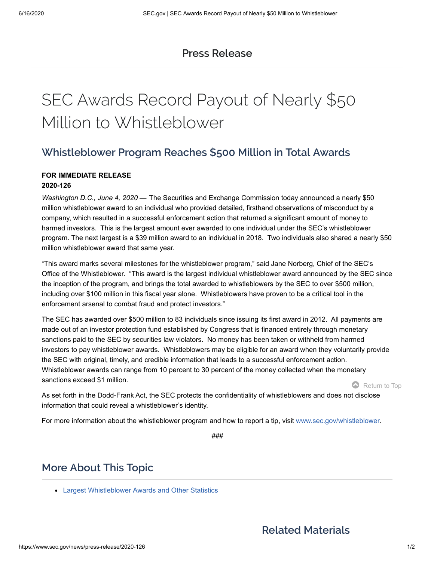### **Press [Release](https://www.sec.gov/news/pressreleases)**

# SEC Awards Record Payout of Nearly \$50 Million to Whistleblower

## **Whistleblower Program Reaches \$500 Million in Total Awards**

#### **FOR IMMEDIATE RELEASE**

#### **2020-126**

Washington D.C., June 4, 2020 — The Securities and Exchange Commission today announced a nearly \$50 million whistleblower award to an individual who provided detailed, firsthand observations of misconduct by a company, which resulted in a successful enforcement action that returned a significant amount of money to harmed investors. This is the largest amount ever awarded to one individual under the SEC's whistleblower program. The next largest is a \$39 million award to an individual in 2018. Two individuals also shared a nearly \$50 million whistleblower award that same year.

"This award marks several milestones for the whistleblower program," said Jane Norberg, Chief of the SEC's Office of the Whistleblower. "This award is the largest individual whistleblower award announced by the SEC since the inception of the program, and brings the total awarded to whistleblowers by the SEC to over \$500 million, including over \$100 million in this fiscal year alone. Whistleblowers have proven to be a critical tool in the enforcement arsenal to combat fraud and protect investors."

The SEC has awarded over \$500 million to 83 individuals since issuing its first award in 2012. All payments are made out of an investor protection fund established by Congress that is financed entirely through monetary sanctions paid to the SEC by securities law violators. No money has been taken or withheld from harmed investors to pay whistleblower awards. Whistleblowers may be eligible for an award when they voluntarily provide the SEC with original, timely, and credible information that leads to a successful enforcement action. Whistleblower awards can range from 10 percent to 30 percent of the money collected when the monetary sanctions exceed \$1 million.

Return to Top

As set forth in the Dodd-Frank Act, the SEC protects the confidentiality of whistleblowers and does not disclose information that could reveal a whistleblower's identity.

For more information about the whistleblower program and how to report a tip, visit [www.sec.gov/whistleblower.](http://www.sec.gov/whistleblower)

*###*

## **More About This Topic**

[Largest Whistleblower Awards and Other Statistics](https://www.sec.gov/page/whistleblower-100million)